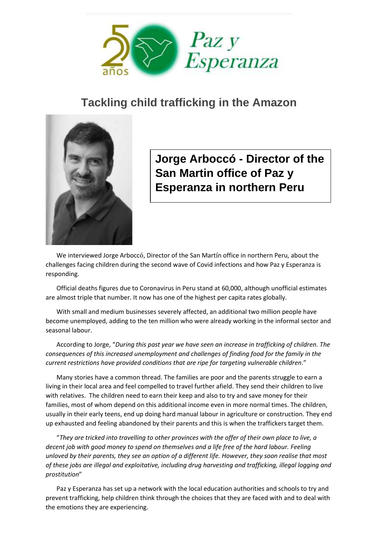

## **Tackling child trafficking in the Amazon**



**Jorge Arboccó - Director of the San Martin office of Paz y Esperanza in northern Peru**

We interviewed Jorge Arboccó, Director of the San Martín office in northern Peru, about the challenges facing children during the second wave of Covid infections and how Paz y Esperanza is responding.

Official deaths figures due to Coronavirus in Peru stand at 60,000, although unofficial estimates are almost triple that number. It now has one of the highest per capita rates globally.

With small and medium businesses severely affected, an additional two million people have become unemployed, adding to the ten million who were already working in the informal sector and seasonal labour.

According to Jorge, "*During this past year we have seen an increase in trafficking of children. The consequences of this increased unemployment and challenges of finding food for the family in the current restrictions have provided conditions that are ripe for targeting vulnerable children*."

Many stories have a common thread. The families are poor and the parents struggle to earn a living in their local area and feel compelled to travel further afield. They send their children to live with relatives. The children need to earn their keep and also to try and save money for their families, most of whom depend on this additional income even in more normal times. The children, usually in their early teens, end up doing hard manual labour in agriculture or construction. They end up exhausted and feeling abandoned by their parents and this is when the traffickers target them.

"*They are tricked into travelling to other provinces with the offer of their own place to live, a decent job with good money to spend on themselves and a life free of the hard labour. Feeling unloved by their parents, they see an option of a different life. However, they soon realise that most of these jobs are illegal and exploitative, including drug harvesting and trafficking, illegal logging and prostitution*"

Paz y Esperanza has set up a network with the local education authorities and schools to try and prevent trafficking, help children think through the choices that they are faced with and to deal with the emotions they are experiencing.